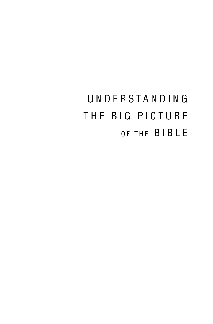U N D E R S T A N D I N G THE BIG PICTURE OF THE BIBLE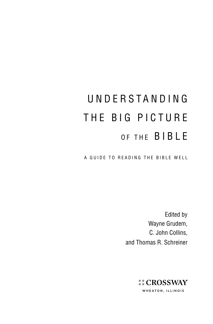# U N D E R S T A N D I N G THE BIG PICTURE OF THE BIBLE

A GUIDE TO READING THE BIBLE WELL

Edited by Wayne Grudem, C. John Collins, and Thomas R. Schreiner

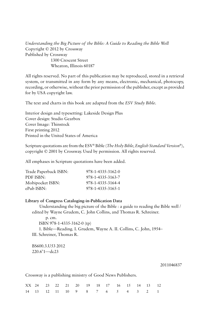*Understanding the Big Picture of the Bible: A Guide to Reading the Bible Well* Copyright © 2012 by Crossway Published by Crossway 1300 Crescent Street Wheaton, Illinois 60187

All rights reserved. No part of this publication may be reproduced, stored in a retrieval system, or transmitted in any form by any means, electronic, mechanical, photocopy, recording, or otherwise, without the prior permission of the publisher, except as provided for by USA copyright law.

The text and charts in this book are adapted from the *ESV Study Bible.*

Interior design and typesetting: Lakeside Design Plus Cover design: Studio Gearbox Cover Image: Thinstock First printing 2012 Printed in the United States of America

Scripture quotations are from the ESV® Bible (*The Holy Bible, English Standard Version*®), copyright © 2001 by Crossway. Used by permission. All rights reserved.

All emphases in Scripture quotations have been added.

| Trade Paperback ISBN: | 978-1-4335-3162-0 |
|-----------------------|-------------------|
| PDF ISBN:             | 978-1-4335-3163-7 |
| Mobipocket ISBN:      | 978-1-4335-3164-4 |
| ePub ISBN:            | 978-1-4335-3165-1 |

#### **Library of Congress Cataloging-in-Publication Data**

Understanding the big picture of the Bible : a guide to reading the Bible well / edited by Wayne Grudem, C. John Collins, and Thomas R. Schreiner.

 p. cm. ISBN 978-1-4335-3162-0 (tp) 1. Bible—Reading. I. Grudem, Wayne A. II. Collins, C. John, 1954– III. Schreiner, Thomas R.

BS600.3.U53 2012 220.6'1—dc23

2011046837

Crossway is a publishing ministry of Good News Publishers.

|  |  | XX 24 23 22 21 20 19 18 17 16 15 14 13 12                  |  |  |  |  |
|--|--|------------------------------------------------------------|--|--|--|--|
|  |  | 14   13   12   11   10   9   8   7   6   5   4   3   2   1 |  |  |  |  |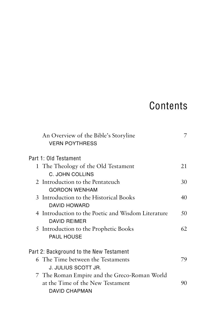# **Contents**

| An Overview of the Bible's Storyline<br><b>VERN POYTHRESS</b> | 7  |
|---------------------------------------------------------------|----|
| Part 1: Old Testament                                         |    |
| 1 The Theology of the Old Testament                           | 21 |
| C. JOHN COLLINS                                               |    |
| 2 Introduction to the Pentateuch                              | 30 |
| <b>GORDON WENHAM</b>                                          |    |
| 3 Introduction to the Historical Books                        | 40 |
| DAVID HOWARD                                                  |    |
| 4 Introduction to the Poetic and Wisdom Literature            | 50 |
| <b>DAVID REIMER</b>                                           |    |
| 5 Introduction to the Prophetic Books                         | 62 |
| <b>PAUL HOUSE</b>                                             |    |
| Part 2: Background to the New Testament                       |    |
| 6 The Time between the Testaments                             | 79 |
| J. JULIUS SCOTT JR.                                           |    |
| 7 The Roman Empire and the Greco-Roman World                  |    |
| at the Time of the New Testament                              | 90 |
| DAVID CHAPMAN                                                 |    |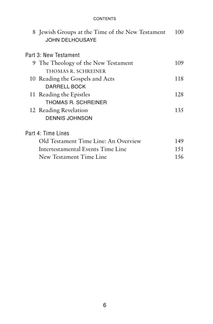#### CONTENTS

| 8 Jewish Groups at the Time of the New Testament |     |  |  |
|--------------------------------------------------|-----|--|--|
| JOHN DELHOUSAYE                                  |     |  |  |
|                                                  |     |  |  |
| Part 3: New Testament                            |     |  |  |
| 9 The Theology of the New Testament              | 109 |  |  |
| THOMAS R. SCHREINER                              |     |  |  |
| 10 Reading the Gospels and Acts                  | 118 |  |  |
| DARRELL BOCK                                     |     |  |  |
| 11 Reading the Epistles                          | 128 |  |  |
| THOMAS R. SCHREINER                              |     |  |  |
| 12 Reading Revelation                            | 135 |  |  |
| <b>DENNIS JOHNSON</b>                            |     |  |  |
| Part 4: Time Lines                               |     |  |  |
| Old Testament Time Line: An Overview             | 149 |  |  |
| Intertestamental Events Time Line                | 151 |  |  |
| New Testament Time Line                          | 156 |  |  |
|                                                  |     |  |  |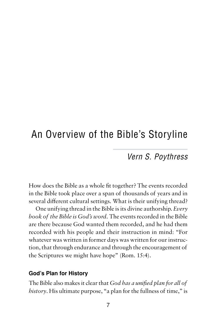## An Overview of the Bible's Storyline

### Vern S. Poythress

How does the Bible as a whole fit together? The events recorded in the Bible took place over a span of thousands of years and in several different cultural settings. What is their unifying thread?

One unifying thread in the Bible is its divine authorship. *Every book of the Bible is God's word*. The events recorded in the Bible are there because God wanted them recorded, and he had them recorded with his people and their instruction in mind: "For whatever was written in former days was written for our instruction, that through endurance and through the encouragement of the Scriptures we might have hope" (Rom. 15:4).

#### **God's Plan for History**

The Bible also makes it clear that *God has a unified plan for all of history*. His ultimate purpose, "a plan for the fullness of time," is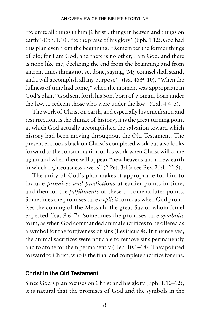"to unite all things in him [Christ], things in heaven and things on earth" (Eph. 1:10), "to the praise of his glory" (Eph. 1:12). God had this plan even from the beginning: "Remember the former things of old; for I am God, and there is no other; I am God, and there is none like me, declaring the end from the beginning and from ancient times things not yet done, saying, 'My counsel shall stand, and I will accomplish all my purpose'" (Isa. 46:9–10). "When the fullness of time had come," when the moment was appropriate in God's plan, "God sent forth his Son, born of woman, born under the law, to redeem those who were under the law" (Gal. 4:4–5).

The work of Christ on earth, and especially his crucifixion and resurrection, is the climax of history; it is the great turning point at which God actually accomplished the salvation toward which history had been moving throughout the Old Testament. The present era looks back on Christ's completed work but also looks forward to the consummation of his work when Christ will come again and when there will appear "new heavens and a new earth in which righteousness dwells" (2 Pet. 3:13; see Rev. 21:1–22:5).

The unity of God's plan makes it appropriate for him to include *promises and predictions* at earlier points in time, and then for the *fulfillments* of these to come at later points. Sometimes the promises take *explicit* form, as when God promises the coming of the Messiah, the great Savior whom Israel expected (Isa. 9:6–7). Sometimes the promises take *symbolic* form, as when God commanded animal sacrifices to be offered as a symbol for the forgiveness of sins (Leviticus 4). In themselves, the animal sacrifices were not able to remove sins permanently and to atone for them permanently (Heb. 10:1–18). They pointed forward to Christ, who is the final and complete sacrifice for sins.

#### **Christ in the Old Testament**

Since God's plan focuses on Christ and his glory (Eph. 1:10–12), it is natural that the promises of God and the symbols in the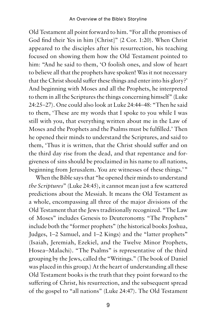Old Testament all point forward to him. "For all the promises of God find their Yes in him [Christ]" (2 Cor. 1:20). When Christ appeared to the disciples after his resurrection, his teaching focused on showing them how the Old Testament pointed to him: "And he said to them, 'O foolish ones, and slow of heart to believe all that the prophets have spoken! Was it not necessary that the Christ should suffer these things and enter into his glory?' And beginning with Moses and all the Prophets, he interpreted to them in all the Scriptures the things concerning himself" (Luke 24:25–27). One could also look at Luke 24:44–48: "Then he said to them, 'These are my words that I spoke to you while I was still with you, that everything written about me in the Law of Moses and the Prophets and the Psalms must be fulfilled.' Then he opened their minds to understand the Scriptures, and said to them, 'Thus it is written, that the Christ should suffer and on the third day rise from the dead, and that repentance and forgiveness of sins should be proclaimed in his name to all nations, beginning from Jerusalem. You are witnesses of these things.'"

When the Bible says that "he opened their minds to understand *the Scriptures*" (Luke 24:45), it cannot mean just a few scattered predictions about the Messiah. It means the Old Testament as a whole, encompassing all three of the major divisions of the Old Testament that the Jews traditionally recognized. "The Law of Moses" includes Genesis to Deuteronomy. "The Prophets" include both the "former prophets" (the historical books Joshua, Judges, 1–2 Samuel, and 1–2 Kings) and the "latter prophets" (Isaiah, Jeremiah, Ezekiel, and the Twelve Minor Prophets, Hosea–Malachi). "The Psalms" is representative of the third grouping by the Jews, called the "Writings." (The book of Daniel was placed in this group.) At the heart of understanding all these Old Testament books is the truth that they point forward to the suffering of Christ, his resurrection, and the subsequent spread of the gospel to "all nations" (Luke 24:47). The Old Testament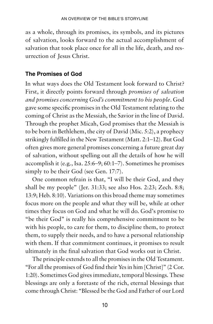as a whole, through its promises, its symbols, and its pictures of salvation, looks forward to the actual accomplishment of salvation that took place once for all in the life, death, and resurrection of Jesus Christ.

#### **The Promises of God**

In what ways does the Old Testament look forward to Christ? First, it directly points forward through *promises of salvation and promises concerning God's commitment to his people*. God gave some specific promises in the Old Testament relating to the coming of Christ as the Messiah, the Savior in the line of David. Through the prophet Micah, God promises that the Messiah is to be born in Bethlehem, the city of David (Mic. 5:2), a prophecy strikingly fulfilled in the New Testament (Matt. 2:1–12). But God often gives more general promises concerning a future great day of salvation, without spelling out all the details of how he will accomplish it (e.g., Isa. 25:6–9; 60:1–7). Sometimes he promises simply to be their God (see Gen. 17:7).

One common refrain is that, "I will be their God, and they shall be my people" (Jer. 31:33; see also Hos. 2:23; Zech. 8:8; 13:9; Heb. 8:10). Variations on this broad theme may sometimes focus more on the people and what they will be, while at other times they focus on God and what he will do. God's promise to "be their God" is really his comprehensive commitment to be with his people, to care for them, to discipline them, to protect them, to supply their needs, and to have a personal relationship with them. If that commitment continues, it promises to result ultimately in the final salvation that God works out in Christ.

The principle extends to all the promises in the Old Testament. "For all the promises of God find their Yes in him [Christ]" (2 Cor. 1:20). Sometimes God gives immediate, temporal blessings. These blessings are only a foretaste of the rich, eternal blessings that come through Christ: "Blessed be the God and Father of our Lord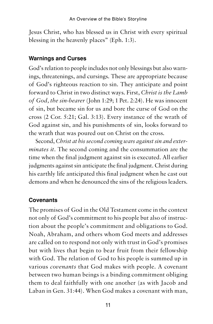Jesus Christ, who has blessed us in Christ with every spiritual blessing in the heavenly places" (Eph. 1:3).

#### **Warnings and Curses**

God's relation to people includes not only blessings but also warnings, threatenings, and cursings. These are appropriate because of God's righteous reaction to sin. They anticipate and point forward to Christ in two distinct ways. First, *Christ is the Lamb of God, the sin-bearer* (John 1:29; 1 Pet. 2:24). He was innocent of sin, but became sin for us and bore the curse of God on the cross (2 Cor. 5:21; Gal. 3:13). Every instance of the wrath of God against sin, and his punishments of sin, looks forward to the wrath that was poured out on Christ on the cross.

Second, *Christ at his second coming wars against sin and exterminates it.* The second coming and the consummation are the time when the final judgment against sin is executed. All earlier judgments against sin anticipate the final judgment. Christ during his earthly life anticipated this final judgment when he cast out demons and when he denounced the sins of the religious leaders.

#### **Covenants**

The promises of God in the Old Testament come in the context not only of God's commitment to his people but also of instruction about the people's commitment and obligations to God. Noah, Abraham, and others whom God meets and addresses are called on to respond not only with trust in God's promises but with lives that begin to bear fruit from their fellowship with God. The relation of God to his people is summed up in various *covenants* that God makes with people. A covenant between two human beings is a binding commitment obliging them to deal faithfully with one another (as with Jacob and Laban in Gen. 31:44). When God makes a covenant with man,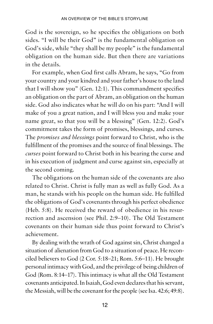God is the sovereign, so he specifies the obligations on both sides. "I will be their God" is the fundamental obligation on God's side, while "they shall be my people" is the fundamental obligation on the human side. But then there are variations in the details.

For example, when God first calls Abram, he says, "Go from your country and your kindred and your father's house to the land that I will show you" (Gen. 12:1). This commandment specifies an obligation on the part of Abram, an obligation on the human side. God also indicates what he will do on his part: "And I will make of you a great nation, and I will bless you and make your name great, so that you will be a blessing" (Gen. 12:2). God's commitment takes the form of promises, blessings, and curses. The *promises and blessings* point forward to Christ, who is the fulfillment of the promises and the source of final blessings. The *curses* point forward to Christ both in his bearing the curse and in his execution of judgment and curse against sin, especially at the second coming.

The obligations on the human side of the covenants are also related to Christ. Christ is fully man as well as fully God. As a man, he stands with his people on the human side. He fulfilled the obligations of God's covenants through his perfect obedience (Heb. 5:8). He received the reward of obedience in his resurrection and ascension (see Phil. 2:9–10). The Old Testament covenants on their human side thus point forward to Christ's achievement.

By dealing with the wrath of God against sin, Christ changed a situation of alienation from God to a situation of peace. He reconciled believers to God (2 Cor. 5:18–21; Rom. 5:6–11). He brought personal intimacy with God, and the privilege of being children of God (Rom. 8:14–17). This intimacy is what all the Old Testament covenants anticipated. In Isaiah, God even declares that his servant, the Messiah, will be the covenant for the people (see Isa. 42:6; 49:8).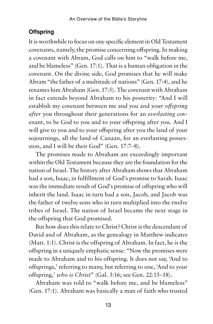#### **Offspring**

It is worthwhile to focus on one specific element in Old Testament covenants, namely, the promise concerning offspring. In making a covenant with Abram, God calls on him to "walk before me, and be blameless" (Gen. 17:1). That is a human obligation in the covenant. On the divine side, God promises that he will make Abram "the father of a multitude of nations" (Gen. 17:4), and he renames him Abraham (Gen. 17:5). The covenant with Abraham in fact extends beyond Abraham to his posterity: "And I will establish my covenant between me and you and *your o!spring after you* throughout their generations for an *everlasting* covenant, to be God to you and to your offspring after you. And I will give to you and to your offspring after you the land of your sojournings, all the land of Canaan, for an everlasting possession, and I will be their God" (Gen. 17:7–8).

The promises made to Abraham are exceedingly important within the Old Testament because they are the foundation for the nation of Israel. The history after Abraham shows that Abraham had a son, Isaac, in fulfillment of God's promise to Sarah. Isaac was the immediate result of God's promise of offspring who will inherit the land. Isaac in turn had a son, Jacob, and Jacob was the father of twelve sons who in turn multiplied into the twelve tribes of Israel. The nation of Israel became the next stage in the offspring that God promised.

But how does this relate to Christ? Christ is the descendant of David and of Abraham, as the genealogy in Matthew indicates (Matt. 1:1). Christ is the offspring of Abraham. In fact, he is the offspring in a uniquely emphatic sense: "Now the promises were made to Abraham and to his offspring. It does not say, 'And to offsprings,' referring to many, but referring to one, 'And to your offspring,' *who is Christ*" (Gal. 3:16; see Gen. 22:15–18).

Abraham was told to "walk before me, and be blameless" (Gen. 17:1). Abraham was basically a man of faith who trusted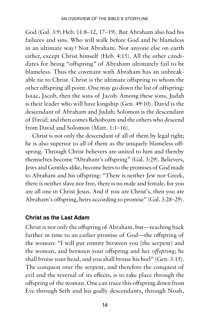God (Gal. 3:9; Heb. 11:8–12, 17–19). But Abraham also had his failures and sins. Who will walk before God and be blameless in an ultimate way? Not Abraham. Not anyone else on earth either, except Christ himself (Heb. 4:15). All the other candidates for being "offspring" of Abraham ultimately fail to be blameless. Thus the covenant with Abraham has an unbreakable tie to Christ. Christ is the ultimate offspring to whom the other offspring all point. One may go down the list of offspring: Isaac, Jacob, then the sons of Jacob. Among these sons, Judah is their leader who will have kingship (Gen. 49:10). David is the descendant of Abraham and Judah; Solomon is the descendant of David; and then comes Rehoboam and the others who descend from David and Solomon (Matt. 1:1–16).

Christ is not only the descendant of all of them by legal right; he is also superior to all of them as the uniquely blameless offspring. Through Christ believers are united to him and thereby themselves become "Abraham's offspring" (Gal. 3:29). Believers, Jews and Gentiles alike, become heirs to the promises of God made to Abraham and his offspring: "There is neither Jew nor Greek, there is neither slave nor free, there is no male and female, for you are all one in Christ Jesus. And if you are Christ's, then you are Abraham's offspring, heirs according to promise" (Gal. 3:28–29).

#### **Christ as the Last Adam**

Christ is not only the offspring of Abraham, but—reaching back farther in time to an earlier promise of God—the offspring of the woman: "I will put enmity between you [the serpent] and the woman, and between your offspring and her *offspring*; he shall bruise your head, and you shall bruise his heel" (Gen. 3:15). The conquest over the serpent, and therefore the conquest of evil and the reversal of its effects, is to take place through the offspring of the woman. One can trace this offspring down from Eve through Seth and his godly descendants, through Noah,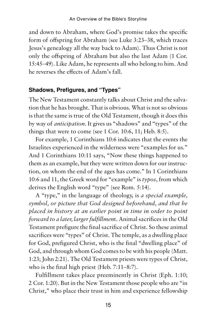and down to Abraham, where God's promise takes the specific form of offspring for Abraham (see Luke 3:23–38, which traces Jesus's genealogy all the way back to Adam). Thus Christ is not only the offspring of Abraham but also the last Adam (1 Cor. 15:45–49). Like Adam, he represents all who belong to him. And he reverses the effects of Adam's fall.

#### **Shadows, Prefigures, and "Types"**

The New Testament constantly talks about Christ and the salvation that he has brought. That is obvious. What is not so obvious is that the same is true of the Old Testament, though it does this by way of *anticipation*. It gives us "shadows" and "types" of the things that were to come (see 1 Cor. 10:6, 11; Heb. 8:5).

For example, 1 Corinthians 10:6 indicates that the events the Israelites experienced in the wilderness were "examples for us." And 1 Corinthians 10:11 says, "Now these things happened to them as an example, but they were written down for our instruction, on whom the end of the ages has come." In 1 Corinthians 10:6 and 11, the Greek word for "example" is *typos*, from which derives the English word "type" (see Rom. 5:14).

A "type," in the language of theology, is *a special example, symbol, or picture that God designed beforehand, and that he placed in history at an earlier point in time in order to point forward to a later, larger fulfillmen*t. Animal sacrifices in the Old Testament prefigure the final sacrifice of Christ. So these animal sacrifices were "types" of Christ. The temple, as a dwelling place for God, prefigured Christ, who is the final "dwelling place" of God, and through whom God comes to be with his people (Matt. 1:23; John 2:21). The Old Testament priests were types of Christ, who is the final high priest (Heb. 7:11–8:7).

Fulfillment takes place preeminently in Christ (Eph. 1:10; 2 Cor. 1:20). But in the New Testament those people who are "in Christ," who place their trust in him and experience fellowship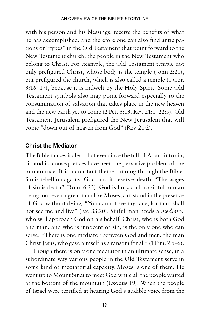with his person and his blessings, receive the benefits of what he has accomplished, and therefore one can also find anticipations or "types" in the Old Testament that point forward to the New Testament church, the people in the New Testament who belong to Christ. For example, the Old Testament temple not only prefigured Christ, whose body is the temple (John 2:21), but prefigured the church, which is also called a temple (1 Cor. 3:16–17), because it is indwelt by the Holy Spirit. Some Old Testament symbols also may point forward especially to the consummation of salvation that takes place in the new heaven and the new earth yet to come (2 Pet. 3:13; Rev. 21:1–22:5). Old Testament Jerusalem prefigured the New Jerusalem that will come "down out of heaven from God" (Rev. 21:2).

#### **Christ the Mediator**

The Bible makes it clear that ever since the fall of Adam into sin, sin and its consequences have been the pervasive problem of the human race. It is a constant theme running through the Bible. Sin is rebellion against God, and it deserves death: "The wages of sin is death" (Rom. 6:23). God is holy, and no sinful human being, not even a great man like Moses, can stand in the presence of God without dying: "You cannot see my face, for man shall not see me and live" (Ex. 33:20). Sinful man needs a *mediator* who will approach God on his behalf. Christ, who is both God and man, and who is innocent of sin, is the only one who can serve: "There is one mediator between God and men, the man Christ Jesus, who gave himself as a ransom for all" (1Tim. 2:5–6).

Though there is only one mediator in an ultimate sense, in a subordinate way various people in the Old Testament serve in some kind of mediatorial capacity. Moses is one of them. He went up to Mount Sinai to meet God while all the people waited at the bottom of the mountain (Exodus 19). When the people of Israel were terrified at hearing God's audible voice from the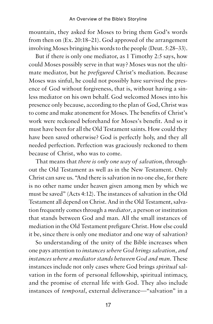mountain, they asked for Moses to bring them God's words from then on (Ex. 20:18–21). God approved of the arrangement involving Moses bringing his words to the people (Deut. 5:28–33).

But if there is only one mediator, as 1 Timothy 2:5 says, how could Moses possibly serve in that way? Moses was not the ultimate mediator, but he *prefigured* Christ's mediation. Because Moses was sinful, he could not possibly have survived the presence of God without forgiveness, that is, without having a sinless mediator on his own behalf. God welcomed Moses into his presence only because, according to the plan of God, Christ was to come and make atonement for Moses. The benefits of Christ's work were reckoned beforehand for Moses's benefit. And so it must have been for all the Old Testament saints. How could they have been saved otherwise? God is perfectly holy, and they all needed perfection. Perfection was graciously reckoned to them because of Christ, who was to come.

That means that *there is only one way of salvation*, throughout the Old Testament as well as in the New Testament. Only Christ can save us. "And there is salvation in no one else, for there is no other name under heaven given among men by which we must be saved" (Acts 4:12). The instances of salvation in the Old Testament all depend on Christ. And in the Old Testament, salvation frequently comes through a *mediator*, a person or institution that stands between God and man. All the small instances of mediation in the Old Testament prefigure Christ. How else could it be, since there is only one mediator and one way of salvation?

So understanding of the unity of the Bible increases when one pays attention to *instances where God brings salvation, and instances where a mediator stands between God and man*. These instances include not only cases where God brings *spiritual* salvation in the form of personal fellowship, spiritual intimacy, and the promise of eternal life with God. They also include instances of *temporal*, external deliverance—"salvation" in a